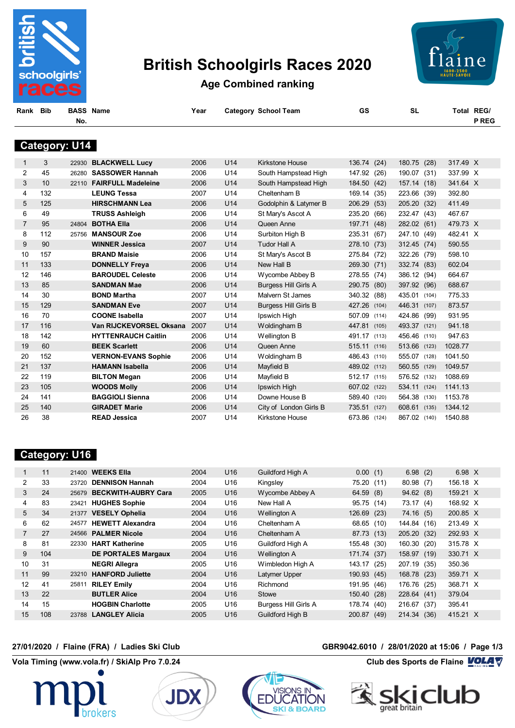

# **British Schoolgirls Races 2020**



**Age Combined ranking**

| Bib | <b>BASS Nan</b> |  |
|-----|-----------------|--|
|     |                 |  |

**Rank Bib BASS Name Year Category School Team GS SL Total REG/**

**No. P REG**

# **Category: U14**

| $\mathbf{1}$   | 3   |       | 22930 BLACKWELL Lucy       | 2006 | U14             | Kirkstone House             | 136.74 (24)  |       | 180.75 (28) |       | 317.49 X |  |
|----------------|-----|-------|----------------------------|------|-----------------|-----------------------------|--------------|-------|-------------|-------|----------|--|
| 2              | 45  | 26280 | <b>SASSOWER Hannah</b>     | 2006 | U14             | South Hampstead High        | 147.92 (26)  |       | 190.07      | (31)  | 337.99 X |  |
| 3              | 10  | 22110 | <b>FAIRFULL Madeleine</b>  | 2006 | U14             | South Hampstead High        | 184.50 (42)  |       | 157.14      | (18)  | 341.64 X |  |
| 4              | 132 |       | <b>LEUNG Tessa</b>         | 2007 | U <sub>14</sub> | Cheltenham B                | 169.14       | (35)  | 223.66      | (39)  | 392.80   |  |
| 5              | 125 |       | <b>HIRSCHMANN Lea</b>      | 2006 | U14             | Godolphin & Latymer B       | 206.29       | (53)  | 205.20      | (32)  | 411.49   |  |
| 6              | 49  |       | <b>TRUSS Ashleigh</b>      | 2006 | U14             | St Mary's Ascot A           | 235.20       | (66)  | 232.47      | (43)  | 467.67   |  |
| $\overline{7}$ | 95  | 24804 | <b>BOTHA Ella</b>          | 2006 | U14             | Queen Anne                  | 197.71       | (48)  | 282.02 (61) |       | 479.73 X |  |
| 8              | 112 | 25756 | <b>MANSOUR Zoe</b>         | 2006 | U14             | Surbiton High B             | 235.31 (67)  |       | 247.10      | (49)  | 482.41 X |  |
| 9              | 90  |       | <b>WINNER Jessica</b>      | 2007 | U14             | <b>Tudor Hall A</b>         | 278.10       | (73)  | 312.45      | (74)  | 590.55   |  |
| 10             | 157 |       | <b>BRAND Maisie</b>        | 2006 | U <sub>14</sub> | St Mary's Ascot B           | 275.84       | (72)  | 322.26      | (79)  | 598.10   |  |
| 11             | 133 |       | <b>DONNELLY Freya</b>      | 2006 | U14             | New Hall B                  | 269.30       | (71)  | 332.74      | (83)  | 602.04   |  |
| 12             | 146 |       | <b>BAROUDEL Celeste</b>    | 2006 | U14             | Wycombe Abbey B             | 278.55 (74)  |       | 386.12 (94) |       | 664.67   |  |
| 13             | 85  |       | <b>SANDMAN Mae</b>         | 2006 | U14             | <b>Burgess Hill Girls A</b> | 290.75 (80)  |       | 397.92 (96) |       | 688.67   |  |
| 14             | 30  |       | <b>BOND Martha</b>         | 2007 | U <sub>14</sub> | Malvern St James            | 340.32 (88)  |       | 435.01      | (104) | 775.33   |  |
| 15             | 129 |       | <b>SANDMAN Eve</b>         | 2007 | U14             | <b>Burgess Hill Girls B</b> | 427.26 (104) |       | 446.31      | (107) | 873.57   |  |
| 16             | 70  |       | <b>COONE Isabella</b>      | 2007 | U14             | Ipswich High                | 507.09 (114) |       | 424.86      | (99)  | 931.95   |  |
| 17             | 116 |       | Van RIJCKEVORSEL Oksana    | 2007 | U14             | Woldingham B                | 447.81 (105) |       | 493.37      | (121) | 941.18   |  |
| 18             | 142 |       | <b>HYTTENRAUCH Caitlin</b> | 2006 | U14             | Wellington B                | 491.17 (113) |       | 456.46      | (110) | 947.63   |  |
| 19             | 60  |       | <b>BEEK Scarlett</b>       | 2006 | U14             | Queen Anne                  | 515.11 (116) |       | 513.66      | (123) | 1028.77  |  |
| 20             | 152 |       | <b>VERNON-EVANS Sophie</b> | 2006 | U14             | Woldingham B                | 486.43 (110) |       | 555.07      | (128) | 1041.50  |  |
| 21             | 137 |       | <b>HAMANN Isabella</b>     | 2006 | U14             | Mayfield B                  | 489.02 (112) |       | 560.55      | (129) | 1049.57  |  |
| 22             | 119 |       | <b>BILTON Megan</b>        | 2006 | U14             | Mayfield B                  | 512.17 (115) |       | 576.52      | (132) | 1088.69  |  |
| 23             | 105 |       | <b>WOODS Molly</b>         | 2006 | U14             | Ipswich High                | 607.02 (122) |       | 534.11      | (124) | 1141.13  |  |
| 24             | 141 |       | <b>BAGGIOLI Sienna</b>     | 2006 | U14             | Downe House B               | 589.40 (120) |       | 564.38      | (130) | 1153.78  |  |
| 25             | 140 |       | <b>GIRADET Marie</b>       | 2006 | U14             | City of London Girls B      | 735.51       | (127) | 608.61      | (135) | 1344.12  |  |
| 26             | 38  |       | <b>READ Jessica</b>        | 2007 | U <sub>14</sub> | Kirkstone House             | 673.86 (124) |       | 867.02      | (140) | 1540.88  |  |
|                |     |       |                            |      |                 |                             |              |       |             |       |          |  |

### **Category: U16**

|    | 11  |       | 21400 <b>WEEKS Ella</b>    | 2004 | U <sub>16</sub> | <b>Guildford High A</b>     | 0.00(1)     |      | 6.98(2)     |      | 6.98 $X$ |  |
|----|-----|-------|----------------------------|------|-----------------|-----------------------------|-------------|------|-------------|------|----------|--|
| 2  | 33  | 23720 | <b>DENNISON Hannah</b>     | 2004 | U16             | Kingsley                    | 75.20       | (11) | 80.98       | (7)  | 156.18 X |  |
| 3  | 24  |       | 25679 BECKWITH-AUBRY Cara  | 2005 | U <sub>16</sub> | Wycombe Abbey A             | 64.59(8)    |      | 94.62(8)    |      | 159.21 X |  |
| 4  | 83  | 23421 | <b>HUGHES Sophie</b>       | 2004 | U16             | New Hall A                  | 95.75 (14)  |      | 73.17       | (4)  | 168.92 X |  |
| 5  | 34  |       | 21377 VESELY Ophelia       | 2004 | U <sub>16</sub> | Wellington A                | 126.69 (23) |      | 74.16(5)    |      | 200.85 X |  |
| 6  | 62  | 24577 | <b>HEWETT Alexandra</b>    | 2004 | U <sub>16</sub> | Cheltenham A                | 68.65 (10)  |      | 144.84      | (16) | 213.49 X |  |
|    | 27  |       | 24566 PALMER Nicole        | 2004 | U <sub>16</sub> | Cheltenham A                | 87.73 (13)  |      | 205.20      | (32) | 292.93 X |  |
| 8  | 81  |       | 22330 HART Katherine       | 2005 | U <sub>16</sub> | Guildford High A            | 155.48 (30) |      | 160.30      | (20) | 315.78 X |  |
| 9  | 104 |       | <b>DE PORTALES Margaux</b> | 2004 | U <sub>16</sub> | Wellington A                | 171.74 (37) |      | 158.97      | (19) | 330.71 X |  |
| 10 | 31  |       | <b>NEGRI Allegra</b>       | 2005 | U <sub>16</sub> | Wimbledon High A            | 143.17      | (25) | 207.19      | (35) | 350.36   |  |
| 11 | 99  |       | 23210 HANFORD Juliette     | 2004 | U <sub>16</sub> | Latymer Upper               | 190.93 (45) |      | 168.78      | (23) | 359.71 X |  |
| 12 | 41  | 25811 | <b>RILEY Emily</b>         | 2004 | U <sub>16</sub> | Richmond                    | 191.95 (46) |      | 176.76      | (25) | 368.71 X |  |
| 13 | 22  |       | <b>BUTLER Alice</b>        | 2004 | U <sub>16</sub> | Stowe                       | 150.40 (28) |      | 228.64 (41) |      | 379.04   |  |
| 14 | 15  |       | <b>HOGBIN Charlotte</b>    | 2005 | U <sub>16</sub> | <b>Burgess Hill Girls A</b> | 178.74 (40) |      | 216.67      | (37) | 395.41   |  |
| 15 | 108 |       | 23788 LANGLEY Alicia       | 2005 | U16             | <b>Guildford High B</b>     | 200.87      | (49) | 214.34      | (36) | 415.21 X |  |

ATION

**SKI & BOARD** 

**EDUC** 





#### **27/01/2020 / Flaine (FRA) / Ladies Ski Club GBR9042.6010 / 28/01/2020 at 15:06 / Page 1/3**

**Vola Timing (www.vola.fr) / SkiAlp Pro 7.0.24 Club des Sports de Flaine VOLA V** 

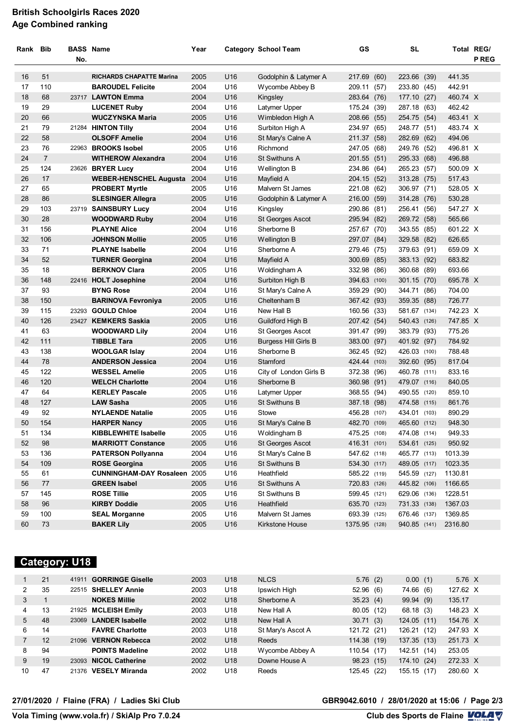#### **British Schoolgirls Races 2020 Age Combined ranking**

| Rank Bib |                | <b>BASS Name</b><br>No. |                                     | Year |                 | <b>Category School Team</b> | GS            |       | <b>SL</b>    |      | Total REG/ | <b>P REG</b> |
|----------|----------------|-------------------------|-------------------------------------|------|-----------------|-----------------------------|---------------|-------|--------------|------|------------|--------------|
| 16       | 51             |                         | <b>RICHARDS CHAPATTE Marina</b>     | 2005 | U <sub>16</sub> | Godolphin & Latymer A       | 217.69        | (60)  | 223.66 (39)  |      | 441.35     |              |
| 17       | 110            |                         | <b>BAROUDEL Felicite</b>            | 2004 | U16             | Wycombe Abbey B             | 209.11        | (57)  | 233.80 (45)  |      | 442.91     |              |
| 18       | 68             |                         | 23717 LAWTON Emma                   | 2004 | U16             | Kingsley                    | 283.64        | (76)  | 177.10       | (27) | 460.74 X   |              |
| 19       | 29             |                         | <b>LUCENET Ruby</b>                 | 2004 | U16             | Latymer Upper               | 175.24        | (39)  | 287.18       | (63) | 462.42     |              |
| 20       | 66             |                         | <b>WUCZYNSKA Maria</b>              | 2005 | U16             | Wimbledon High A            | 208.66        | (55)  | 254.75 (54)  |      | 463.41 X   |              |
| 21       | 79             |                         | 21284 HINTON Tilly                  | 2004 | U16             | Surbiton High A             | 234.97        | (65)  | 248.77 (51)  |      | 483.74 X   |              |
| 22       | 58             |                         | <b>OLSOFF Amelie</b>                | 2004 | U16             | St Mary's Calne A           | 211.37        | (58)  | 282.69 (62)  |      | 494.06     |              |
| 23       | 76             |                         | 22963 BROOKS Isobel                 | 2005 | U16             | Richmond                    | 247.05 (68)   |       | 249.76 (52)  |      | 496.81 X   |              |
| 24       | $\overline{7}$ |                         | <b>WITHEROW Alexandra</b>           | 2004 | U16             | St Swithuns A               | 201.55 (51)   |       | 295.33 (68)  |      | 496.88     |              |
| 25       | 124            |                         | 23626 BRYER Lucy                    | 2004 | U16             | Wellington B                | 234.86 (64)   |       | 265.23 (57)  |      | 500.09 X   |              |
| 26       | 17             |                         | <b>WEBER-HENSCHEL Augusta</b>       | 2004 | U16             | Mayfield A                  | 204.15 (52)   |       | 313.28 (75)  |      | 517.43     |              |
| 27       | 65             |                         | <b>PROBERT Myrtle</b>               | 2005 | U16             | Malvern St James            | 221.08        | (62)  | 306.97 (71)  |      | 528.05 X   |              |
| 28       | 86             |                         | <b>SLESINGER Allegra</b>            | 2005 | U16             | Godolphin & Latymer A       | 216.00        | (59)  | 314.28 (76)  |      | 530.28     |              |
| 29       | 103            |                         | 23719 SAINSBURY Lucy                | 2004 | U16             | Kingsley                    | 290.86 (81)   |       | 256.41 (56)  |      | 547.27 X   |              |
| 30       | 28             |                         | <b>WOODWARD Ruby</b>                | 2004 | U16             | St Georges Ascot            | 295.94        | (82)  | 269.72 (58)  |      | 565.66     |              |
| 31       | 156            |                         | <b>PLAYNE Alice</b>                 | 2004 | U16             | Sherborne B                 | 257.67 (70)   |       | 343.55 (85)  |      | 601.22 X   |              |
| 32       | 106            |                         | <b>JOHNSON Mollie</b>               | 2005 | U16             | Wellington B                | 297.07        | (84)  | 329.58       | (82) | 626.65     |              |
| 33       | 71             |                         | <b>PLAYNE Isabelle</b>              | 2004 | U16             | Sherborne A                 | 279.46 (75)   |       | 379.63 (91)  |      | 659.09 X   |              |
| 34       | 52             |                         | <b>TURNER Georgina</b>              | 2004 | U16             | Mayfield A                  | 300.69        | (85)  | 383.13 (92)  |      | 683.82     |              |
| 35       | 18             |                         | <b>BERKNOV Clara</b>                | 2005 | U16             | Woldingham A                | 332.98 (86)   |       | 360.68 (89)  |      | 693.66     |              |
| 36       | 148            |                         | 22416 HOLT Josephine                | 2004 | U16             | Surbiton High B             | 394.63 (100)  |       | 301.15 (70)  |      | 695.78 X   |              |
| 37       | 93             |                         | <b>BYNG Rose</b>                    | 2004 | U16             | St Mary's Calne A           | 359.29 (90)   |       | 344.71 (86)  |      | 704.00     |              |
| 38       | 150            |                         | <b>BARINOVA Fevroniya</b>           | 2005 | U16             | Cheltenham B                | 367.42 (93)   |       | 359.35 (88)  |      | 726.77     |              |
| 39       | 115            |                         | 23293 GOULD Chloe                   | 2004 | U16             | New Hall B                  | 160.56 (33)   |       | 581.67 (134) |      | 742.23 X   |              |
| 40       | 126            |                         | 23427 KEMKERS Saskia                | 2005 | U16             | Guildford High B            | 207.42 (54)   |       | 540.43 (126) |      | 747.85 X   |              |
| 41       | 63             |                         | <b>WOODWARD Lily</b>                | 2004 | U16             | St Georges Ascot            | 391.47        | (99)  | 383.79 (93)  |      | 775.26     |              |
| 42       | 111            |                         | <b>TIBBLE Tara</b>                  | 2005 | U16             | <b>Burgess Hill Girls B</b> | 383.00        | (97)  | 401.92 (97)  |      | 784.92     |              |
| 43       | 138            |                         | <b>WOOLGAR Islay</b>                | 2004 | U16             | Sherborne B                 | 362.45        | (92)  | 426.03 (100) |      | 788.48     |              |
| 44       | 78             |                         | <b>ANDERSON Jessica</b>             | 2004 | U16             | Stamford                    | 424.44 (103)  |       | 392.60 (95)  |      | 817.04     |              |
| 45       | 122            |                         | <b>WESSEL Amelie</b>                | 2005 | U16             | City of London Girls B      | 372.38        | (96)  | 460.78 (111) |      | 833.16     |              |
| 46       | 120            |                         | <b>WELCH Charlotte</b>              | 2004 | U16             | Sherborne B                 | 360.98        | (91)  | 479.07 (116) |      | 840.05     |              |
| 47       | 64             |                         | <b>KERLEY Pascale</b>               | 2005 | U16             | Latymer Upper               | 368.55        | (94)  | 490.55 (120) |      | 859.10     |              |
| 48       | 127            |                         | <b>LAW Sasha</b>                    | 2005 | U16             | St Swithuns B               | 387.18        | (98)  | 474.58 (115) |      | 861.76     |              |
| 49       | 92             |                         | <b>NYLAENDE Natalie</b>             | 2005 | U <sub>16</sub> | Stowe                       | 456.28        | (107) | 434.01 (103) |      | 890.29     |              |
| 50       | 154            |                         | <b>HARPER Nancy</b>                 | 2005 | U16             | St Mary's Calne B           | 482.70 (109)  |       | 465.60 (112) |      | 948.30     |              |
| 51       | 134            |                         | <b>KIBBLEWHITE Isabelle</b>         | 2005 | U16             | Woldingham B                | 475.25 (108)  |       | 474.08 (114) |      | 949.33     |              |
| 52       | 98             |                         | <b>MARRIOTT Constance</b>           | 2005 | U16             | St Georges Ascot            | 416.31 (101)  |       | 534.61 (125) |      | 950.92     |              |
| 53       | 136            |                         | <b>PATERSON Pollyanna</b>           | 2004 | U16             | St Mary's Calne B           | 547.62 (118)  |       | 465.77 (113) |      | 1013.39    |              |
| 54       | 109            |                         | <b>ROSE Georgina</b>                | 2005 | U16             | St Swithuns B               | 534.30 (117)  |       | 489.05 (117) |      | 1023.35    |              |
| 55       | 61             |                         | <b>CUNNINGHAM-DAY Rosaleen 2005</b> |      | U16             | Heathfield                  | 585.22 (119)  |       | 545.59 (127) |      | 1130.81    |              |
| 56       | 77             |                         | <b>GREEN Isabel</b>                 | 2005 | U16             | St Swithuns A               | 720.83 (126)  |       | 445.82 (106) |      | 1166.65    |              |
| 57       | 145            |                         | <b>ROSE Tillie</b>                  | 2005 | U16             | St Swithuns B               | 599.45 (121)  |       | 629.06 (136) |      | 1228.51    |              |
| 58       | 96             |                         | <b>KIRBY Doddie</b>                 | 2005 | U16             | Heathfield                  | 635.70 (123)  |       | 731.33 (138) |      | 1367.03    |              |
| 59       | 100            |                         | <b>SEAL Morganne</b>                | 2005 | U16             | Malvern St James            | 693.39 (125)  |       | 676.46 (137) |      | 1369.85    |              |
| 60       | 73             |                         | <b>BAKER Lily</b>                   | 2005 | U16             | Kirkstone House             | 1375.95 (128) |       | 940.85 (141) |      | 2316.80    |              |

## **Category: U18**

|    | 21 | 41911 GORRINGE Giselle | 2003 | U <sub>18</sub> | <b>NLCS</b>       | 5.76(2)        | 0.00(1)        | 5.76 X   |
|----|----|------------------------|------|-----------------|-------------------|----------------|----------------|----------|
| 2  | 35 | 22515 SHELLEY Annie    | 2003 | U18             | Ipswich High      | 52.96(6)       | 74.66<br>(6)   | 127.62 X |
| 3  |    | <b>NOKES Millie</b>    | 2002 | U <sub>18</sub> | Sherborne A       | 35.23(4)       | 99.94 (9)      | 135.17   |
| 4  | 13 | 21925 MCLEISH Emily    | 2003 | U18             | New Hall A        | 80.05 (12)     | 68.18 (3)      | 148.23 X |
| 5  | 48 | 23069 LANDER Isabelle  | 2002 | U <sub>18</sub> | New Hall A        | 30.71(3)       | 124.05(11)     | 154.76 X |
| 6  | 14 | <b>FAVRE Charlotte</b> | 2003 | U18             | St Mary's Ascot A | 121.72 (21)    | 126.21<br>(12) | 247.93 X |
|    | 12 | 21096 VERNON Rebecca   | 2002 | U <sub>18</sub> | Reeds             | 114.38 (19)    | 137.35 (13)    | 251.73 X |
| 8  | 94 | <b>POINTS Madeline</b> | 2002 | U18             | Wycombe Abbey A   | 110.54<br>(17) | (14)<br>142.51 | 253.05   |
| 9  | 19 | 23093 NICOL Catherine  | 2002 | U <sub>18</sub> | Downe House A     | 98.23 (15)     | 174.10 (24)    | 272.33 X |
| 10 | 47 | 21376 VESELY Miranda   | 2002 | U18             | Reeds             | 125.45<br>(22) | 155.15 (17)    | 280.60 X |

#### **VolaSoftControlPdf 27/01/2020 / Flaine (FRA) / Ladies Ski Club GBR9042.6010 / 28/01/2020 at 15:06 / Page 2/3**

**Vola Timing (www.vola.fr) / SkiAlp Pro 7.0.24 Club des Sports de Flaine VOLA V**